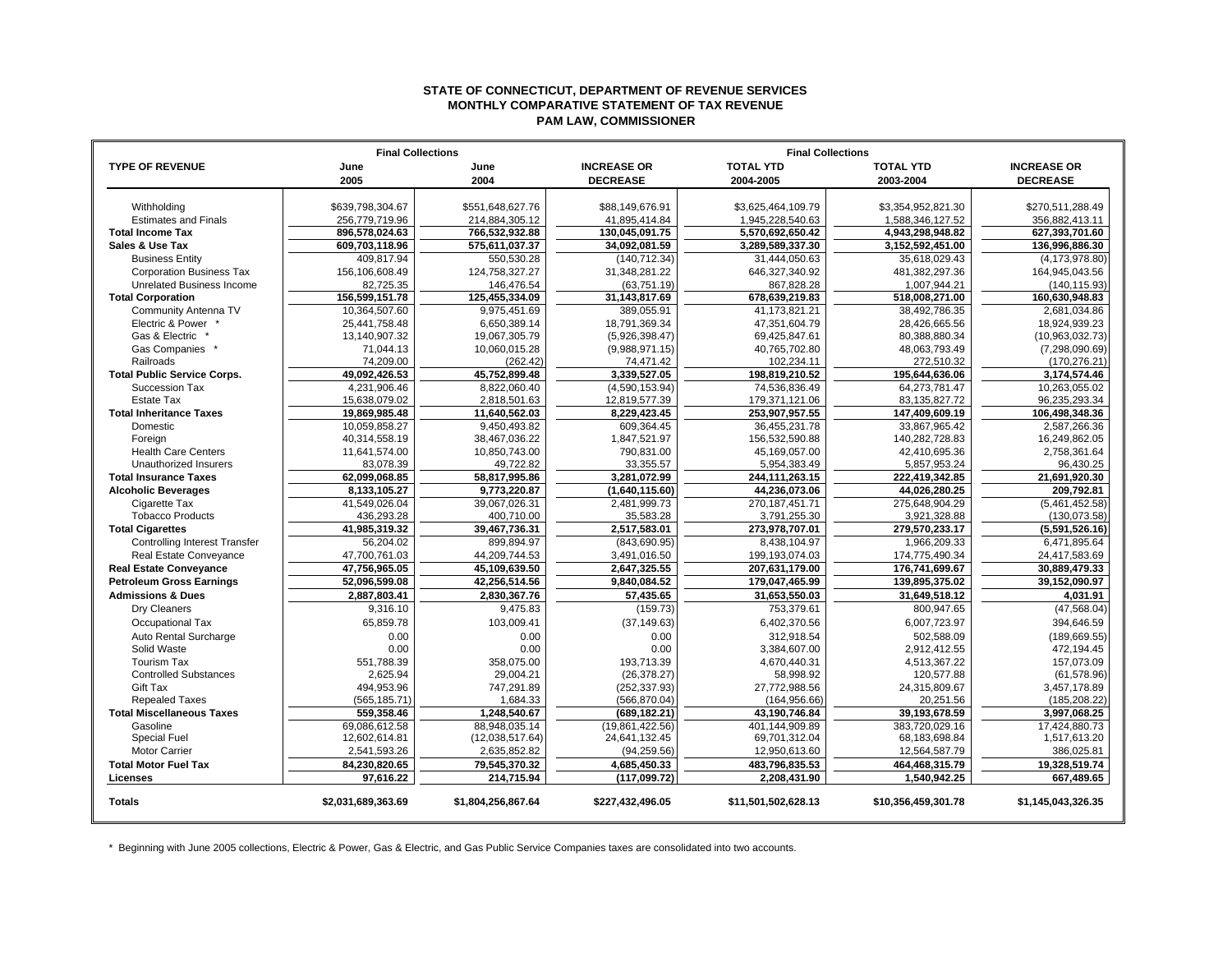## **STATE OF CONNECTICUT, DEPARTMENT OF REVENUE SERVICES MONTHLY COMPARATIVE STATEMENT OF TAX REVENUE PAM LAW, COMMISSIONER**

|                                      | <b>Final Collections</b> |                    | <b>Final Collections</b> |                     |                     |                    |
|--------------------------------------|--------------------------|--------------------|--------------------------|---------------------|---------------------|--------------------|
| <b>TYPE OF REVENUE</b>               | June                     | June               | <b>INCREASE OR</b>       | <b>TOTAL YTD</b>    | <b>TOTAL YTD</b>    | <b>INCREASE OR</b> |
|                                      | 2005                     | 2004               | <b>DECREASE</b>          | 2004-2005           | 2003-2004           | <b>DECREASE</b>    |
|                                      |                          |                    |                          |                     |                     |                    |
| Withholding                          | \$639,798,304.67         | \$551.648.627.76   | \$88.149.676.91          | \$3,625,464,109.79  | \$3,354,952,821.30  | \$270,511,288.49   |
| <b>Estimates and Finals</b>          | 256,779,719.96           | 214,884,305.12     | 41,895,414.84            | 1,945,228,540.63    | 1,588,346,127.52    | 356,882,413.11     |
| <b>Total Income Tax</b>              | 896.578.024.63           | 766,532,932.88     | 130,045,091.75           | 5,570,692,650.42    | 4,943,298,948.82    | 627,393,701.60     |
| Sales & Use Tax                      | 609,703,118.96           | 575,611,037.37     | 34,092,081.59            | 3,289,589,337.30    | 3,152,592,451.00    | 136,996,886.30     |
| <b>Business Entity</b>               | 409,817.94               | 550,530.28         | (140, 712.34)            | 31,444,050.63       | 35,618,029.43       | (4, 173, 978.80)   |
| <b>Corporation Business Tax</b>      | 156,106,608.49           | 124.758.327.27     | 31,348,281.22            | 646.327.340.92      | 481.382.297.36      | 164,945,043.56     |
| <b>Unrelated Business Income</b>     | 82,725.35                | 146,476.54         | (63, 751.19)             | 867,828.28          | 1,007,944.21        | (140, 115.93)      |
| <b>Total Corporation</b>             | 156,599,151.78           | 125,455,334.09     | 31,143,817.69            | 678,639,219.83      | 518,008,271.00      | 160,630,948.83     |
| Community Antenna TV                 | 10.364.507.60            | 9.975.451.69       | 389.055.91               | 41.173.821.21       | 38.492.786.35       | 2.681.034.86       |
| Electric & Power                     | 25,441,758.48            | 6,650,389.14       | 18,791,369.34            | 47,351,604.79       | 28,426,665.56       | 18,924,939.23      |
| Gas & Electric                       | 13,140,907.32            | 19,067,305.79      | (5,926,398.47)           | 69,425,847.61       | 80,388,880.34       | (10,963,032.73)    |
| Gas Companies                        | 71,044.13                | 10,060,015.28      | (9,988,971.15)           | 40,765,702.80       | 48,063,793.49       | (7,298,090.69)     |
| Railroads                            | 74,209.00                | (262.42)           | 74,471.42                | 102,234.11          | 272,510.32          | (170, 276.21)      |
| <b>Total Public Service Corps.</b>   | 49,092,426.53            | 45,752,899.48      | 3,339,527.05             | 198,819,210.52      | 195,644,636.06      | 3,174,574.46       |
| Succession Tax                       | 4,231,906.46             | 8.822.060.40       | (4,590,153.94)           | 74.536.836.49       | 64.273.781.47       | 10.263.055.02      |
| <b>Estate Tax</b>                    | 15,638,079.02            | 2,818,501.63       | 12,819,577.39            | 179,371,121.06      | 83,135,827.72       | 96,235,293.34      |
| <b>Total Inheritance Taxes</b>       | 19,869,985.48            | 11,640,562.03      | 8,229,423.45             | 253,907,957.55      | 147,409,609.19      | 106,498,348.36     |
| Domestic                             | 10,059,858.27            | 9,450,493.82       | 609,364.45               | 36,455,231.78       | 33,867,965.42       | 2,587,266.36       |
| Foreign                              | 40,314,558.19            | 38,467,036.22      | 1,847,521.97             | 156,532,590.88      | 140,282,728.83      | 16,249,862.05      |
| <b>Health Care Centers</b>           | 11,641,574.00            | 10,850,743.00      | 790.831.00               | 45,169,057.00       | 42,410,695.36       | 2,758,361.64       |
| Unauthorized Insurers                | 83,078.39                | 49,722.82          | 33.355.57                | 5,954,383.49        | 5,857,953.24        | 96,430.25          |
| <b>Total Insurance Taxes</b>         | 62,099,068.85            | 58,817,995.86      | 3,281,072.99             | 244, 111, 263. 15   | 222,419,342.85      | 21,691,920.30      |
| <b>Alcoholic Beverages</b>           | 8,133,105.27             | 9,773,220.87       | (1,640,115.60)           | 44,236,073.06       | 44,026,280.25       | 209.792.81         |
| Cigarette Tax                        | 41,549,026.04            | 39,067,026.31      | 2,481,999.73             | 270, 187, 451.71    | 275,648,904.29      | (5,461,452.58)     |
| <b>Tobacco Products</b>              | 436,293.28               | 400,710.00         | 35,583.28                | 3,791,255.30        | 3,921,328.88        | (130,073.58)       |
| <b>Total Cigarettes</b>              | 41,985,319.32            | 39,467,736.31      | 2,517,583.01             | 273,978,707.01      | 279,570,233.17      | (5,591,526.16)     |
| <b>Controlling Interest Transfer</b> | 56,204.02                | 899,894.97         | (843,690.95)             | 8,438,104.97        | 1,966,209.33        | 6,471,895.64       |
| Real Estate Conveyance               | 47,700,761.03            | 44,209,744.53      | 3,491,016.50             | 199,193,074.03      | 174,775,490.34      | 24,417,583.69      |
| <b>Real Estate Conveyance</b>        | 47,756,965.05            | 45,109,639.50      | 2,647,325.55             | 207,631,179.00      | 176,741,699.67      | 30,889,479.33      |
| <b>Petroleum Gross Earnings</b>      | 52,096,599.08            | 42,256,514.56      | 9,840,084.52             | 179,047,465.99      | 139,895,375.02      | 39.152.090.97      |
| <b>Admissions &amp; Dues</b>         | 2,887,803.41             | 2,830,367.76       | 57,435.65                | 31,653,550.03       | 31,649,518.12       | 4.031.91           |
| Dry Cleaners                         | 9,316.10                 | 9,475.83           | (159.73)                 | 753,379.61          | 800,947.65          | (47, 568.04)       |
| Occupational Tax                     | 65,859.78                | 103,009.41         | (37, 149.63)             | 6,402,370.56        | 6,007,723.97        | 394,646.59         |
| Auto Rental Surcharge                | 0.00                     | 0.00               | 0.00                     | 312,918.54          | 502,588.09          | (189, 669.55)      |
| Solid Waste                          | 0.00                     | 0.00               | 0.00                     | 3,384,607.00        | 2,912,412.55        | 472,194.45         |
| <b>Tourism Tax</b>                   | 551,788.39               | 358,075.00         | 193,713.39               | 4,670,440.31        | 4,513,367.22        | 157,073.09         |
| <b>Controlled Substances</b>         | 2,625.94                 | 29,004.21          | (26, 378.27)             | 58,998.92           | 120,577.88          | (61, 578.96)       |
| <b>Gift Tax</b>                      | 494.953.96               | 747,291.89         | (252, 337.93)            | 27.772.988.56       | 24.315.809.67       | 3,457,178.89       |
| <b>Repealed Taxes</b>                | (565, 185.71)            | 1,684.33           | (566, 870.04)            | (164, 956.66)       | 20,251.56           | (185, 208.22)      |
| <b>Total Miscellaneous Taxes</b>     | 559,358.46               | 1,248,540.67       | (689, 182.21)            | 43,190,746.84       | 39,193,678.59       | 3,997,068.25       |
| Gasoline                             | 69.086.612.58            | 88.948.035.14      | (19,861,422.56)          | 401.144.909.89      | 383.720.029.16      | 17.424.880.73      |
| <b>Special Fuel</b>                  | 12,602,614.81            | (12,038,517.64)    | 24,641,132.45            | 69,701,312.04       | 68,183,698.84       | 1,517,613.20       |
| <b>Motor Carrier</b>                 | 2,541,593.26             | 2,635,852.82       | (94, 259.56)             | 12,950,613.60       | 12,564,587.79       | 386,025.81         |
| <b>Total Motor Fuel Tax</b>          | 84.230.820.65            | 79.545.370.32      | 4.685.450.33             | 483.796.835.53      | 464.468.315.79      | 19.328.519.74      |
| Licenses                             | 97,616.22                | 214,715.94         | (117,099.72)             | 2,208,431.90        | 1,540,942.25        | 667,489.65         |
| <b>Totals</b>                        | \$2,031,689,363.69       | \$1,804,256,867.64 | \$227,432,496.05         | \$11,501,502,628.13 | \$10,356,459,301.78 | \$1,145,043,326.35 |

\* Beginning with June 2005 collections, Electric & Power, Gas & Electric, and Gas Public Service Companies taxes are consolidated into two accounts.